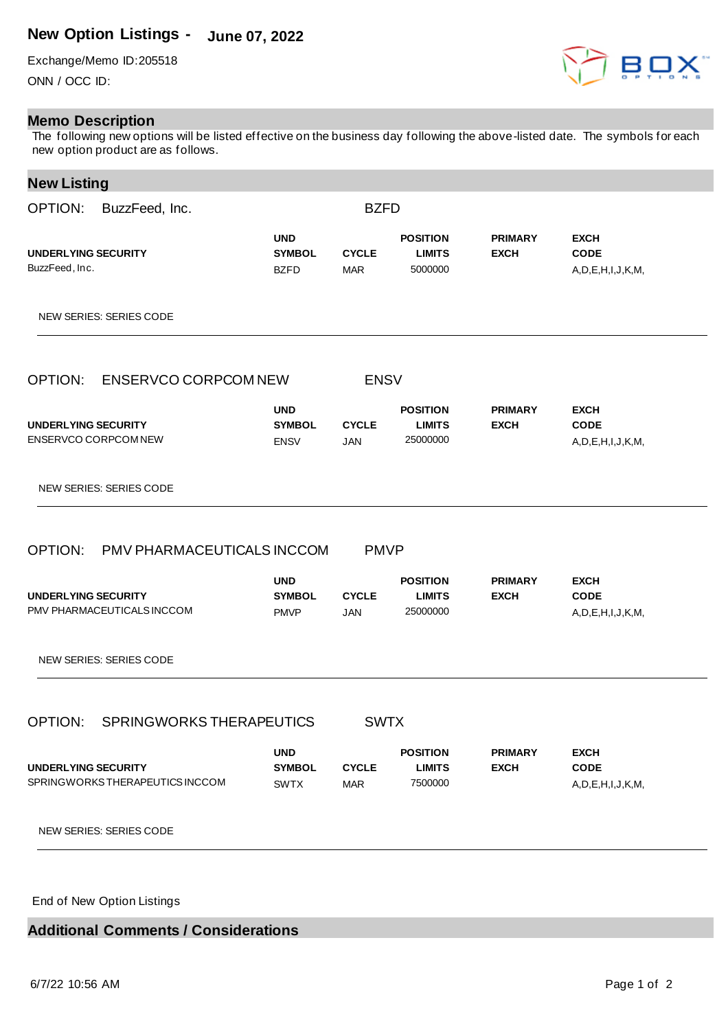## **New Option Listings - June 07, 2022**

Exchange/Memo ID:205518 ONN / OCC ID:

## **Memo Description**

The following new options will be listed effective on the business day following the above-listed date. The symbols for each new option product are as follows.

## **New Listing**

| OPTION:<br>BuzzFeed, Inc.                                     | <b>BZFD</b>                                |                            |                                              |                               |                                                       |
|---------------------------------------------------------------|--------------------------------------------|----------------------------|----------------------------------------------|-------------------------------|-------------------------------------------------------|
| <b>UNDERLYING SECURITY</b><br>BuzzFeed, Inc.                  | <b>UND</b><br><b>SYMBOL</b><br><b>BZFD</b> | <b>CYCLE</b><br><b>MAR</b> | <b>POSITION</b><br><b>LIMITS</b><br>5000000  | <b>PRIMARY</b><br><b>EXCH</b> | <b>EXCH</b><br><b>CODE</b><br>A, D, E, H, I, J, K, M, |
| NEW SERIES: SERIES CODE                                       |                                            |                            |                                              |                               |                                                       |
| OPTION:<br>ENSERVCO CORPCOM NEW                               |                                            | <b>ENSV</b>                |                                              |                               |                                                       |
| <b>UNDERLYING SECURITY</b><br>ENSERVCO CORPCOM NEW            | <b>UND</b><br><b>SYMBOL</b><br><b>ENSV</b> | <b>CYCLE</b><br><b>JAN</b> | <b>POSITION</b><br><b>LIMITS</b><br>25000000 | <b>PRIMARY</b><br><b>EXCH</b> | <b>EXCH</b><br><b>CODE</b><br>A, D, E, H, I, J, K, M, |
| NEW SERIES: SERIES CODE                                       |                                            |                            |                                              |                               |                                                       |
| OPTION:<br>PMV PHARMACEUTICALS INCCOM                         |                                            | <b>PMVP</b>                |                                              |                               |                                                       |
| <b>UNDERLYING SECURITY</b><br>PMV PHARMACEUTICALS INCCOM      | <b>UND</b><br><b>SYMBOL</b><br><b>PMVP</b> | <b>CYCLE</b><br>JAN        | <b>POSITION</b><br><b>LIMITS</b><br>25000000 | <b>PRIMARY</b><br><b>EXCH</b> | <b>EXCH</b><br><b>CODE</b><br>A, D, E, H, I, J, K, M, |
| NEW SERIES: SERIES CODE                                       |                                            |                            |                                              |                               |                                                       |
| OPTION:<br>SPRINGWORKS THERAPEUTICS                           |                                            | <b>SWTX</b>                |                                              |                               |                                                       |
| <b>UNDERLYING SECURITY</b><br>SPRINGWORKS THERAPEUTICS INCCOM | <b>UND</b><br><b>SYMBOL</b><br><b>SWTX</b> | <b>CYCLE</b><br><b>MAR</b> | <b>POSITION</b><br><b>LIMITS</b><br>7500000  | <b>PRIMARY</b><br><b>EXCH</b> | <b>EXCH</b><br><b>CODE</b><br>A, D, E, H, I, J, K, M, |
| <b>NEW SERIES: SERIES CODE</b>                                |                                            |                            |                                              |                               |                                                       |

End of New Option Listings

## **Additional Comments / Considerations**